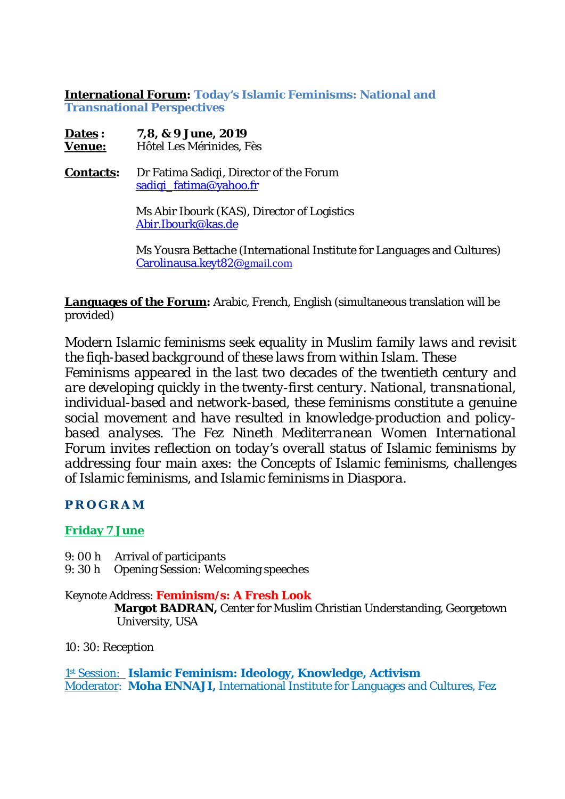**International Forum: Today's Islamic Feminisms: National and Transnational Perspectives** 

**Dates : 7,8, & 9 June, 2019 Venue:** Hôtel Les Mérinides, Fès

**Contacts:** Dr Fatima Sadiqi, Director of the Forum sadiqi\_fatima@yahoo.fr

> Ms Abir Ibourk (KAS), Director of Logistics Abir.Ibourk@kas.de

 Ms Yousra Bettache (International Institute for Languages and Cultures) Carolinausa.keyt82@gmail.com

**Languages of the Forum:** Arabic, French, English (simultaneous translation will be provided)

*Modern Islamic feminisms seek equality in Muslim family laws and revisit the fiqh-based background of these laws from within Islam. These Feminisms appeared in the last two decades of the twentieth century and are developing quickly in the twenty-first century. National, transnational, individual-based and network-based, these feminisms constitute a genuine social movement and have resulted in knowledge-production and policybased analyses. The Fez Nineth Mediterranean Women International Forum invites reflection on today's overall status of Islamic feminisms by addressing four main axes: the Concepts of Islamic feminisms, challenges of Islamic feminisms, and Islamic feminisms in Diaspora.* 

**PROGRAM** 

## **Friday 7 June**

- 9: 00 h Arrival of participants
- 9: 30 h Opening Session: Welcoming speeches

Keynote Address: **Feminism/s: A Fresh Look Margot BADRAN,** Center for Muslim Christian Understanding, Georgetown University, USA

10: 30: Reception

1 st Session: **Islamic Feminism: Ideology, Knowledge, Activism** Moderator: **Moha ENNAJI,** International Institute for Languages and Cultures, Fez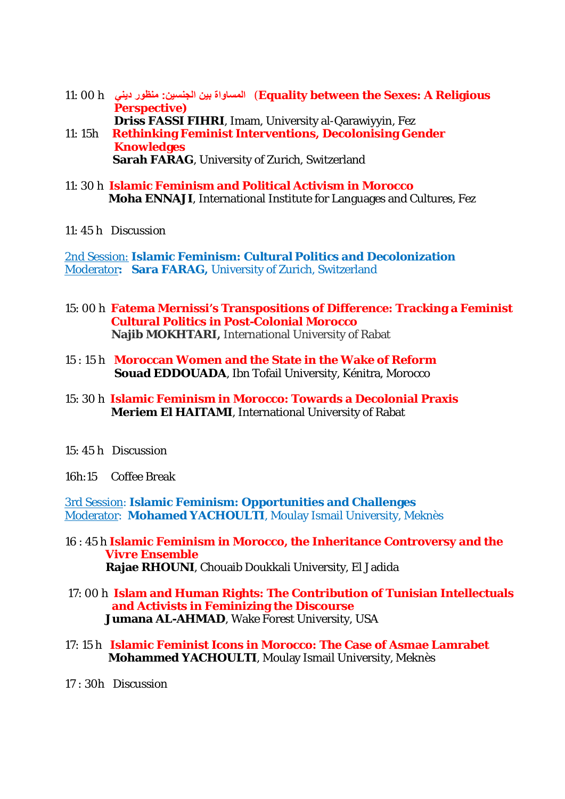- 11: 00 h **ϲϨϳΩέϮψϨϣ :ϦϴδϨΠϟϦϴΑΓϭΎδϤϟ** (**Equality between the Sexes: A Religious Perspective) Driss FASSI FIHRI**, Imam, University al-Qarawiyyin, Fez
- 11: 15h **Rethinking Feminist Interventions, Decolonising Gender Knowledges Sarah FARAG**, University of Zurich, Switzerland
- 11: 30 h **Islamic Feminism and Political Activism in Morocco Moha ENNAJI**, International Institute for Languages and Cultures, Fez
- 11: 45 h Discussion

2nd Session: **Islamic Feminism: Cultural Politics and Decolonization**  Moderator**: Sara FARAG,** University of Zurich, Switzerland

- 15: 00 h **Fatema Mernissi's Transpositions of Difference: Tracking a Feminist Cultural Politics in Post-Colonial Morocco Najib MOKHTARI,** International University of Rabat
- 15 : 15 h **Moroccan Women and the State in the Wake of Reform Souad EDDOUADA**, Ibn Tofail University, Kénitra, Morocco
- 15: 30 h **Islamic Feminism in Morocco: Towards a Decolonial Praxis Meriem El HAITAMI**, International University of Rabat
- 15: 45 h Discussion
- 16h:15 Coffee Break

3rd Session: **Islamic Feminism: Opportunities and Challenges** Moderator: **Mohamed YACHOULTI**, Moulay Ismail University, Meknès

- 16 : 45 h **Islamic Feminism in Morocco, the Inheritance Controversy and the** *Vivre Ensemble*   **Rajae RHOUNI**, Chouaib Doukkali University, El Jadida
- 17: 00 h **Islam and Human Rights: The Contribution of Tunisian Intellectuals and Activists in Feminizing the Discourse Jumana AL-AHMAD**, Wake Forest University, USA
- 17: 15 h **Islamic Feminist Icons in Morocco: The Case of Asmae Lamrabet Mohammed YACHOULTI**, Moulay Ismail University, Meknès
- 17 : 30h Discussion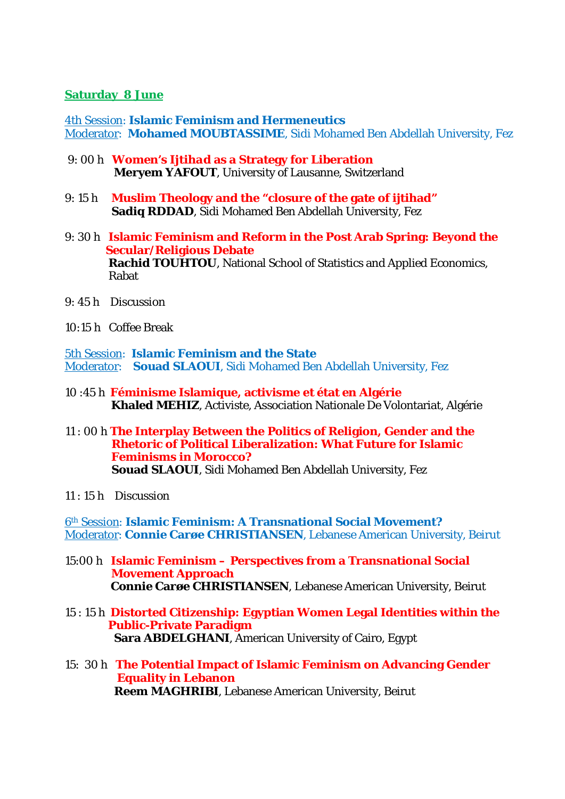## **Saturday 8 June**

4th Session: **Islamic Feminism and Hermeneutics**  Moderator: **Mohamed MOUBTASSIME**, Sidi Mohamed Ben Abdellah University, Fez

- 9: 00 h **Women's** *Ijtihad* **as a Strategy for Liberation Meryem YAFOUT**, University of Lausanne, Switzerland
- 9: 15 h **Muslim Theology and the "closure of the gate of ijtihad" Sadiq RDDAD**, Sidi Mohamed Ben Abdellah University, Fez
- 9: 30 h **Islamic Feminism and Reform in the Post Arab Spring: Beyond the Secular/Religious Debate Rachid TOUHTOU**, National School of Statistics and Applied Economics, Rabat
- 9: 45 h Discussion
- 10:15 h Coffee Break

5th Session: **Islamic Feminism and the State**  Moderator: **Souad SLAOUI**, Sidi Mohamed Ben Abdellah University, Fez

- 10 :45 h **Féminisme Islamique, activisme et état en Algérie Khaled MEHIZ**, Activiste, Association Nationale De Volontariat, Algérie
- 11 : 00 h **The Interplay Between the Politics of Religion, Gender and the Rhetoric of Political Liberalization: What Future for Islamic Feminisms in Morocco? Souad SLAOUI**, Sidi Mohamed Ben Abdellah University, Fez
- 11 : 15 h Discussion

6th Session: **Islamic Feminism: A Transnational Social Movement?** Moderator: **Connie Carøe CHRISTIANSEN**, Lebanese American University, Beirut

- 15:00 h **Islamic Feminism Perspectives from a Transnational Social Movement Approach Connie Carøe CHRISTIANSEN**, Lebanese American University, Beirut
- 15 : 15 h **Distorted Citizenship: Egyptian Women Legal Identities within the Public-Private Paradigm Sara ABDELGHANI**, American University of Cairo, Egypt
- 15: 30 h **The Potential Impact of Islamic Feminism on Advancing Gender Equality in Lebanon Reem MAGHRIBI**, Lebanese American University, Beirut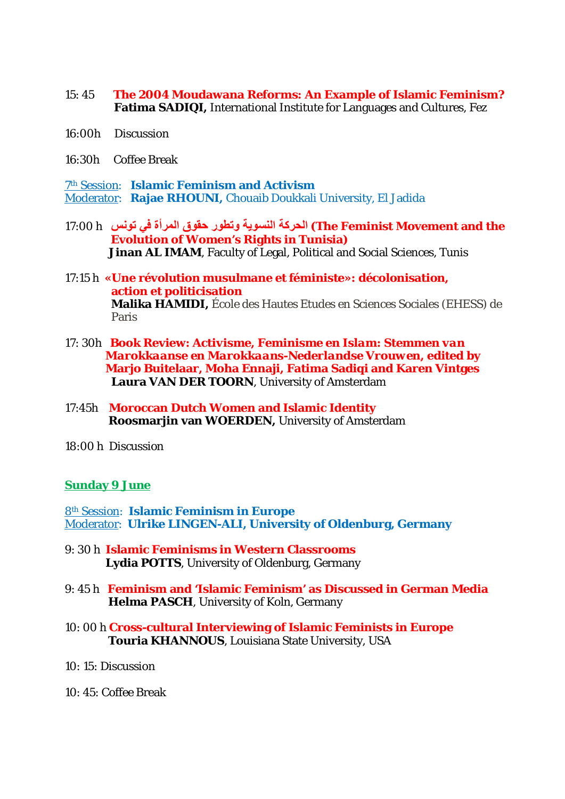- 15: 45 **The 2004 Moudawana Reforms: An Example of Islamic Feminism? Fatima SADIQI,** International Institute for Languages and Cultures, Fez
- 16:00h Discussion
- 16:30h Coffee Break

7 th Session: **Islamic Feminism and Activism**  Moderator: **Rajae RHOUNI,** Chouaib Doukkali University, El Jadida

- 17:00 h **βϧϮΗϲϓΓήϤϟϕϮϘΣέϮτΗϭΔϳϮδϨϟΔϛήΤϟ (The Feminist Movement and the Evolution of Women's Rights in Tunisia) Jinan AL IMAM**, Faculty of Legal, Political and Social Sciences, Tunis
- 17:15 h **«Une révolution musulmane et féministe»: décolonisation, action et politicisation Malika HAMIDI,** École des Hautes Etudes en Sciences Sociales (EHESS) de Paris
- 17: 30h **Book Review:** *Activisme, Feminisme en Islam: Stemmen van Marokkaanse en Marokkaans-Nederlandse Vrouwen***, edited by Marjo Buitelaar, Moha Ennaji, Fatima Sadiqi and Karen Vintges Laura VAN DER TOORN**, University of Amsterdam
- 17:45h **Moroccan Dutch Women and Islamic Identity Roosmarjin van WOERDEN,** University of Amsterdam
- 18:00 h Discussion

## **Sunday 9 June**

8th Session: **Islamic Feminism in Europe**  Moderator: **Ulrike LINGEN-ALI, University of Oldenburg, Germany** 

- 9: 30 h **Islamic Feminisms in Western Classrooms Lydia POTTS**, University of Oldenburg, Germany
- 9: 45 h **Feminism and 'Islamic Feminism' as Discussed in German Media Helma PASCH**, University of Koln, Germany
- 10: 00 h **Cross-cultural Interviewing of Islamic Feminists in Europe Touria KHANNOUS**, Louisiana State University, USA
- 10: 15: Discussion
- 10: 45: Coffee Break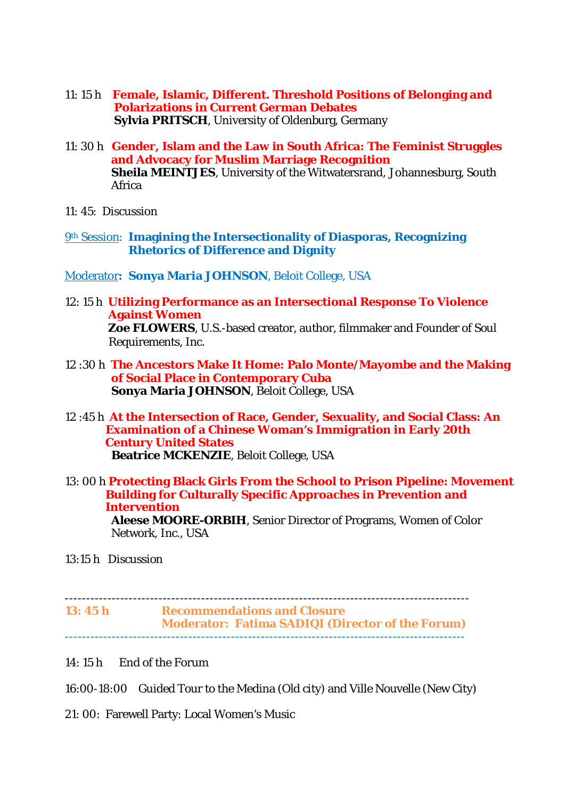- 11: 15 h **Female, Islamic, Different. Threshold Positions of Belonging and Polarizations in Current German Debates Sylvia PRITSCH**, University of Oldenburg, Germany
- 11: 30 h **Gender, Islam and the Law in South Africa: The Feminist Struggles and Advocacy for Muslim Marriage Recognition Sheila MEINTJES**, University of the Witwatersrand, Johannesburg, South Africa
- 11: 45: Discussion
- 9th Session: **Imagining the Intersectionality of Diasporas, Recognizing Rhetorics of Difference and Dignity**
- Moderator**: Sonya Maria JOHNSON**, Beloit College, USA
- 12: 15 h **Utilizing Performance as an Intersectional Response To Violence Against Women Zoe FLOWERS**, U.S.-based creator, author, filmmaker and Founder of Soul Requirements, Inc.
- 12 :30 h **The Ancestors Make It Home: Palo Monte/Mayombe and the Making of Social Place in Contemporary Cuba Sonya Maria JOHNSON**, Beloit College, USA
- 12 :45 h **At the Intersection of Race, Gender, Sexuality, and Social Class: An Examination of a Chinese Woman's Immigration in Early 20th Century United States Beatrice MCKENZIE**, Beloit College, USA
- 13: 00 h **Protecting Black Girls From the School to Prison Pipeline: Movement Building for Culturally Specific Approaches in Prevention and Intervention Aleese MOORE-ORBIH**, Senior Director of Programs, Women of Color Network, Inc., USA
- 13:15 h Discussion

----------------------------------------------------------------------------------------------- **13: 45 h Recommendations and Closure Moderator: Fatima SADIQI (Director of the Forum)**  ----------------------------------------------------------------------------------------------

- 14: 15 h End of the Forum
- 16:00-18:00 Guided Tour to the Medina (Old city) and Ville Nouvelle (New City)
- 21: 00: Farewell Party: Local Women's Music